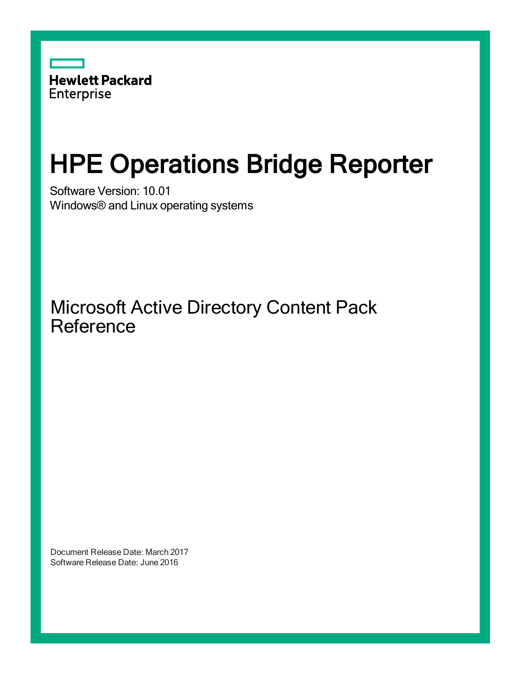

# HPE Operations Bridge Reporter

Software Version: 10.01 Windows® and Linux operating systems

Microsoft Active Directory Content Pack Reference

Document Release Date: March 2017 Software Release Date: June 2016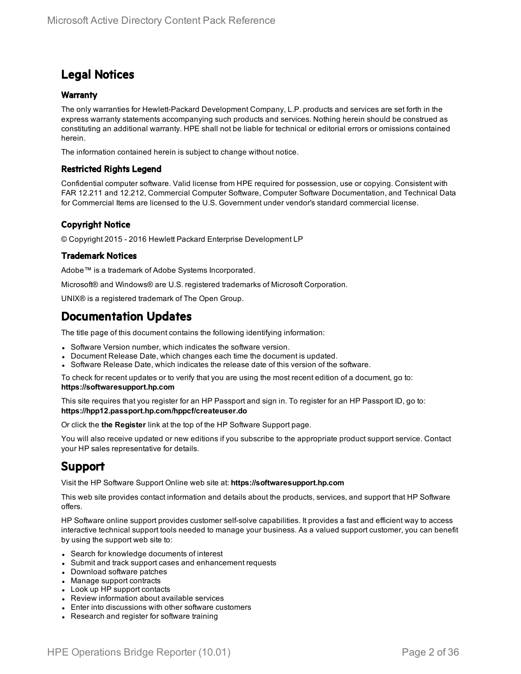### Legal Notices

#### **Warranty**

The only warranties for Hewlett-Packard Development Company, L.P. products and services are set forth in the express warranty statements accompanying such products and services. Nothing herein should be construed as constituting an additional warranty. HPE shall not be liable for technical or editorial errors or omissions contained herein.

The information contained herein is subject to change without notice.

#### Restricted Rights Legend

Confidential computer software. Valid license from HPE required for possession, use or copying. Consistent with FAR 12.211 and 12.212, Commercial Computer Software, Computer Software Documentation, and Technical Data for Commercial Items are licensed to the U.S. Government under vendor's standard commercial license.

#### Copyright Notice

© Copyright 2015 - 2016 Hewlett Packard Enterprise Development LP

#### Trademark Notices

Adobe™ is a trademark of Adobe Systems Incorporated.

Microsoft® and Windows® are U.S. registered trademarks of Microsoft Corporation.

UNIX® is a registered trademark of The Open Group.

### Documentation Updates

The title page of this document contains the following identifying information:

- Software Version number, which indicates the software version.
- Document Release Date, which changes each time the document is updated.
- <sup>l</sup> Software Release Date, which indicates the release date of this version of the software.

To check for recent updates or to verify that you are using the most recent edition of a document, go to: **https://softwaresupport.hp.com**

This site requires that you register for an HP Passport and sign in. To register for an HP Passport ID, go to: **https://hpp12.passport.hp.com/hppcf/createuser.do**

Or click the **the Register** link at the top of the HP Software Support page.

You will also receive updated or new editions if you subscribe to the appropriate product support service. Contact your HP sales representative for details.

### Support

Visit the HP Software Support Online web site at: **https://softwaresupport.hp.com**

This web site provides contact information and details about the products, services, and support that HP Software offers.

HP Software online support provides customer self-solve capabilities. It provides a fast and efficient way to access interactive technical support tools needed to manage your business. As a valued support customer, you can benefit by using the support web site to:

- Search for knowledge documents of interest
- Submit and track support cases and enhancement requests
- Download software patches
- Manage support contracts
- Look up HP support contacts
- Review information about available services
- Enter into discussions with other software customers
- Research and register for software training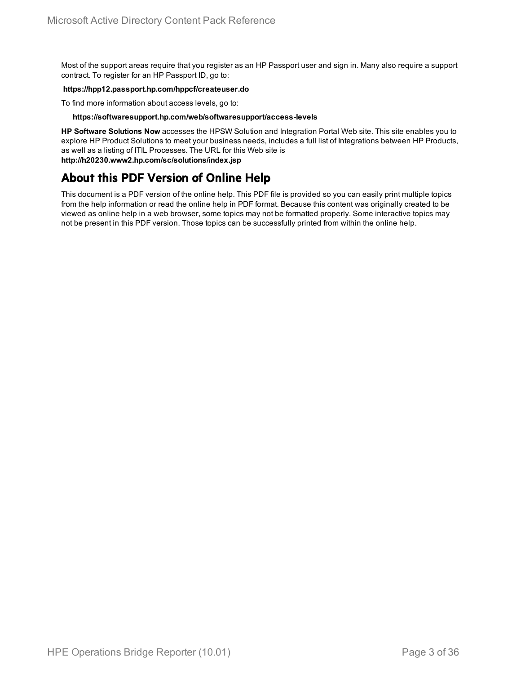Most of the support areas require that you register as an HP Passport user and sign in. Many also require a support contract. To register for an HP Passport ID, go to:

#### **https://hpp12.passport.hp.com/hppcf/createuser.do**

To find more information about access levels, go to:

#### **https://softwaresupport.hp.com/web/softwaresupport/access-levels**

**HP Software Solutions Now** accesses the HPSW Solution and Integration Portal Web site. This site enables you to explore HP Product Solutions to meet your business needs, includes a full list of Integrations between HP Products, as well as a listing of ITIL Processes. The URL for this Web site is **http://h20230.www2.hp.com/sc/solutions/index.jsp**

### About this PDF Version of Online Help

This document is a PDF version of the online help. This PDF file is provided so you can easily print multiple topics from the help information or read the online help in PDF format. Because this content was originally created to be viewed as online help in a web browser, some topics may not be formatted properly. Some interactive topics may not be present in this PDF version. Those topics can be successfully printed from within the online help.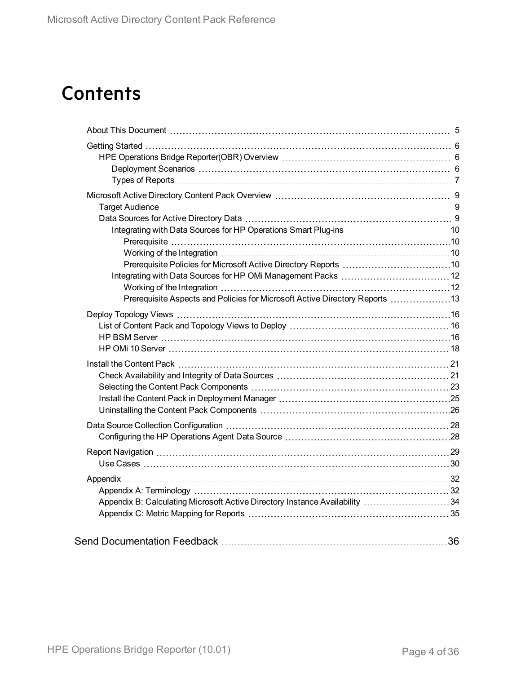## **Contents**

| Prerequisite Aspects and Policies for Microsoft Active Directory Reports 13 |  |
|-----------------------------------------------------------------------------|--|
|                                                                             |  |
|                                                                             |  |
|                                                                             |  |
|                                                                             |  |
|                                                                             |  |
|                                                                             |  |
|                                                                             |  |
|                                                                             |  |
|                                                                             |  |
|                                                                             |  |
|                                                                             |  |
|                                                                             |  |
|                                                                             |  |
|                                                                             |  |
|                                                                             |  |
| Appendix B: Calculating Microsoft Active Directory Instance Availability 34 |  |
|                                                                             |  |
|                                                                             |  |
|                                                                             |  |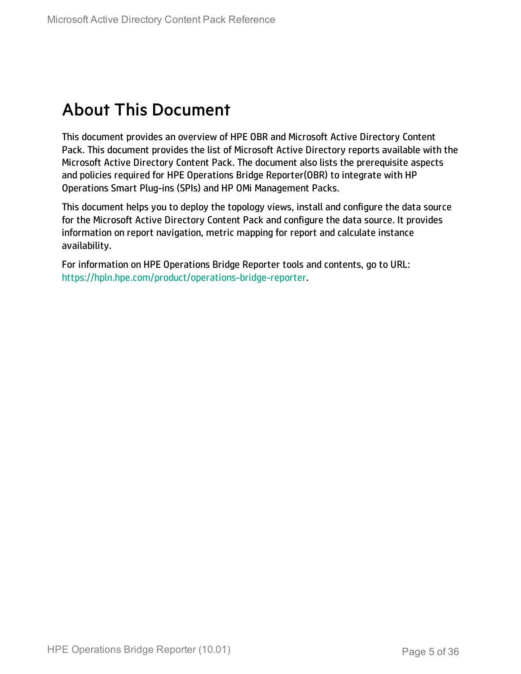## <span id="page-4-0"></span>About This Document

This document provides an overview of HPE OBR and Microsoft Active Directory Content Pack. This document provides the list of Microsoft Active Directory reports available with the Microsoft Active Directory Content Pack. The document also lists the prerequisite aspects and policies required for HPE Operations Bridge Reporter(OBR) to integrate with HP Operations Smart Plug-ins (SPIs) and HP OMi Management Packs.

This document helps you to deploy the topology views, install and configure the data source for the Microsoft Active Directory Content Pack and configure the data source. It provides information on report navigation, metric mapping for report and calculate instance availability.

For information on HPE Operations Bridge Reporter tools and contents, go to URL: <https://hpln.hpe.com/product/operations-bridge-reporter>.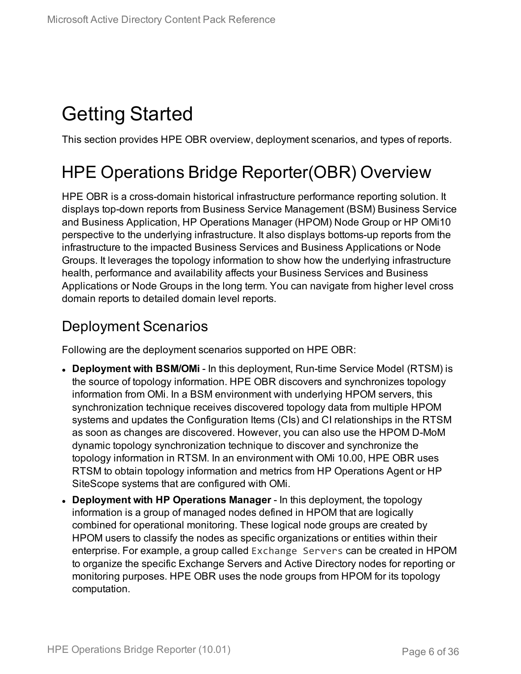## <span id="page-5-0"></span>Getting Started

<span id="page-5-1"></span>This section provides HPE OBR overview, deployment scenarios, and types of reports.

## HPE Operations Bridge Reporter(OBR) Overview

HPE OBR is a cross-domain historical infrastructure performance reporting solution. It displays top-down reports from Business Service Management (BSM) Business Service and Business Application, HP Operations Manager (HPOM) Node Group or HP OMi10 perspective to the underlying infrastructure. It also displays bottoms-up reports from the infrastructure to the impacted Business Services and Business Applications or Node Groups. It leverages the topology information to show how the underlying infrastructure health, performance and availability affects your Business Services and Business Applications or Node Groups in the long term. You can navigate from higher level cross domain reports to detailed domain level reports.

### <span id="page-5-2"></span>Deployment Scenarios

Following are the deployment scenarios supported on HPE OBR:

- **. Deployment with BSM/OMi** In this deployment, Run-time Service Model (RTSM) is the source of topology information. HPE OBR discovers and synchronizes topology information from OMi. In a BSM environment with underlying HPOM servers, this synchronization technique receives discovered topology data from multiple HPOM systems and updates the Configuration Items (CIs) and CI relationships in the RTSM as soon as changes are discovered. However, you can also use the HPOM D-MoM dynamic topology synchronization technique to discover and synchronize the topology information in RTSM. In an environment with OMi 10.00, HPE OBR uses RTSM to obtain topology information and metrics from HP Operations Agent or HP SiteScope systems that are configured with OMi.
- <sup>l</sup> **Deployment with HP Operations Manager** In this deployment, the topology information is a group of managed nodes defined in HPOM that are logically combined for operational monitoring. These logical node groups are created by HPOM users to classify the nodes as specific organizations or entities within their enterprise. For example, a group called Exchange Servers can be created in HPOM to organize the specific Exchange Servers and Active Directory nodes for reporting or monitoring purposes. HPE OBR uses the node groups from HPOM for its topology computation.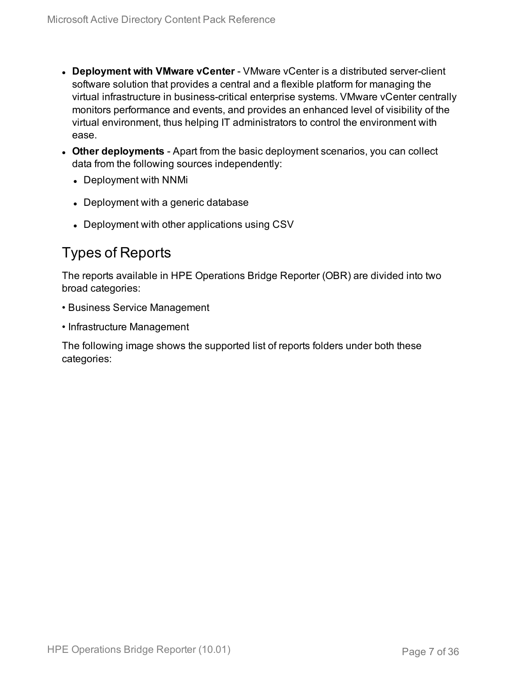- **.** Deployment with VMware vCenter VMware vCenter is a distributed server-client software solution that provides a central and a flexible platform for managing the virtual infrastructure in business-critical enterprise systems. VMware vCenter centrally monitors performance and events, and provides an enhanced level of visibility of the virtual environment, thus helping IT administrators to control the environment with ease.
- **Other deployments** Apart from the basic deployment scenarios, you can collect data from the following sources independently:
	- Deployment with NNMi
	- Deployment with a generic database
	- Deployment with other applications using CSV

### <span id="page-6-0"></span>Types of Reports

The reports available in HPE Operations Bridge Reporter (OBR) are divided into two broad categories:

- Business Service Management
- Infrastructure Management

The following image shows the supported list of reports folders under both these categories: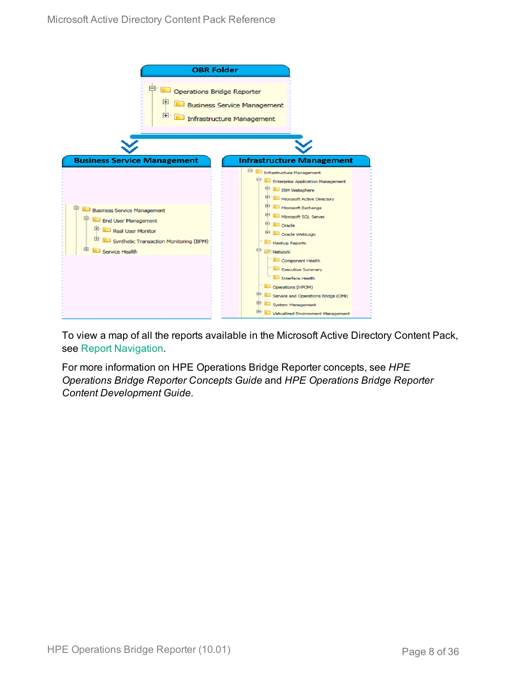

To view a map of all the reports available in the Microsoft Active Directory Content Pack, see Report [Navigation](#page-28-0).

For more information on HPE Operations Bridge Reporter concepts, see *HPE Operations Bridge Reporter Concepts Guide* and *HPE Operations Bridge Reporter Content Development Guide*.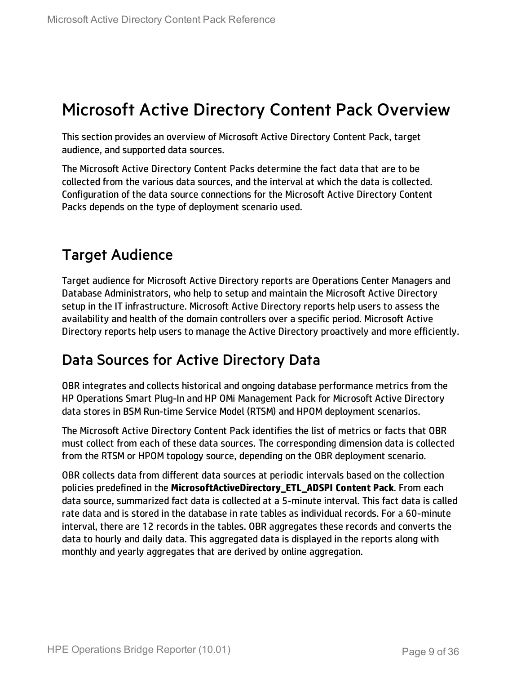## <span id="page-8-0"></span>Microsoft Active Directory Content Pack Overview

This section provides an overview of Microsoft Active Directory Content Pack, target audience, and supported data sources.

The Microsoft Active Directory Content Packs determine the fact data that are to be collected from the various data sources, and the interval at which the data is collected. Configuration of the data source connections for the Microsoft Active Directory Content Packs depends on the type of deployment scenario used.

### <span id="page-8-1"></span>Target Audience

Target audience for Microsoft Active Directory reports are Operations Center Managers and Database Administrators, who help to setup and maintain the Microsoft Active Directory setup in the IT infrastructure. Microsoft Active Directory reports help users to assess the availability and health of the domain controllers over a specific period. Microsoft Active Directory reports help users to manage the Active Directory proactively and more efficiently.

### <span id="page-8-2"></span>Data Sources for Active Directory Data

OBR integrates and collects historical and ongoing database performance metrics from the HP Operations Smart Plug-In and HP OMi Management Pack for Microsoft Active Directory data stores in BSM Run-time Service Model (RTSM) and HPOM deployment scenarios.

The Microsoft Active Directory Content Pack identifies the list of metrics or facts that OBR must collect from each of these data sources. The corresponding dimension data is collected from the RTSM or HPOM topology source, depending on the OBR deployment scenario.

OBR collects data from different data sources at periodic intervals based on the collection policies predefined in the **MicrosoftActiveDirectory\_ETL\_ADSPI Content Pack**. From each data source, summarized fact data is collected at a 5-minute interval. This fact data is called rate data and is stored in the database in rate tables as individual records. For a 60-minute interval, there are 12 records in the tables. OBR aggregates these records and converts the data to hourly and daily data. This aggregated data is displayed in the reports along with monthly and yearly aggregates that are derived by online aggregation.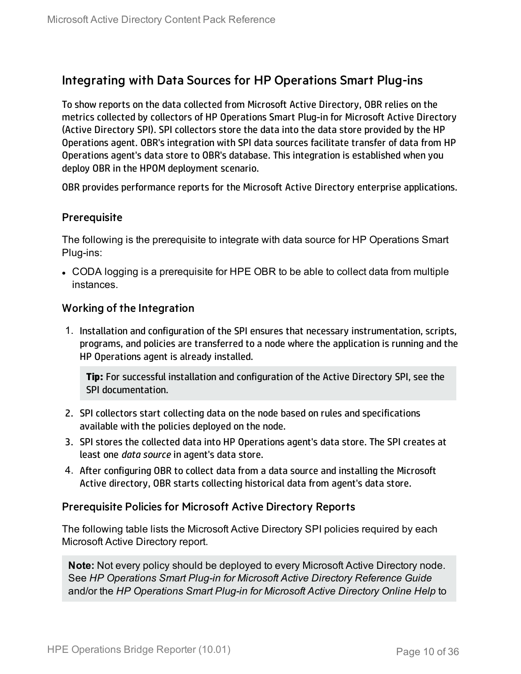### <span id="page-9-0"></span>Integrating with Data Sources for HP Operations Smart Plug-ins

To show reports on the data collected from Microsoft Active Directory, OBR relies on the metrics collected by collectors of HP Operations Smart Plug-in for Microsoft Active Directory (Active Directory SPI). SPI collectors store the data into the data store provided by the HP Operations agent. OBR's integration with SPI data sources facilitate transfer of data from HP Operations agent's data store to OBR's database. This integration is established when you deploy OBR in the HPOM deployment scenario.

OBR provides performance reports for the Microsoft Active Directory enterprise applications.

#### <span id="page-9-1"></span>**Prerequisite**

The following is the prerequisite to integrate with data source for HP Operations Smart Plug-ins:

• CODA logging is a prerequisite for HPE OBR to be able to collect data from multiple instances.

#### <span id="page-9-2"></span>Working of the Integration

1. Installation and configuration of the SPI ensures that necessary instrumentation, scripts, programs, and policies are transferred to a node where the application is running and the HP Operations agent is already installed.

**Tip:** For successful installation and configuration of the Active Directory SPI, see the SPI documentation.

- 2. SPI collectors start collecting data on the node based on rules and specifications available with the policies deployed on the node.
- 3. SPI stores the collected data into HP Operations agent's data store. The SPI creates at least one *data source* in agent's data store.
- 4. After configuring OBR to collect data from a data source and installing the Microsoft Active directory, OBR starts collecting historical data from agent's data store.

#### <span id="page-9-3"></span>Prerequisite Policies for Microsoft Active Directory Reports

The following table lists the Microsoft Active Directory SPI policies required by each Microsoft Active Directory report.

**Note:** Not every policy should be deployed to every Microsoft Active Directory node. See *HP Operations Smart Plug-in for Microsoft Active Directory Reference Guide* and/or the *HP Operations Smart Plug-in for Microsoft Active Directory Online Help* to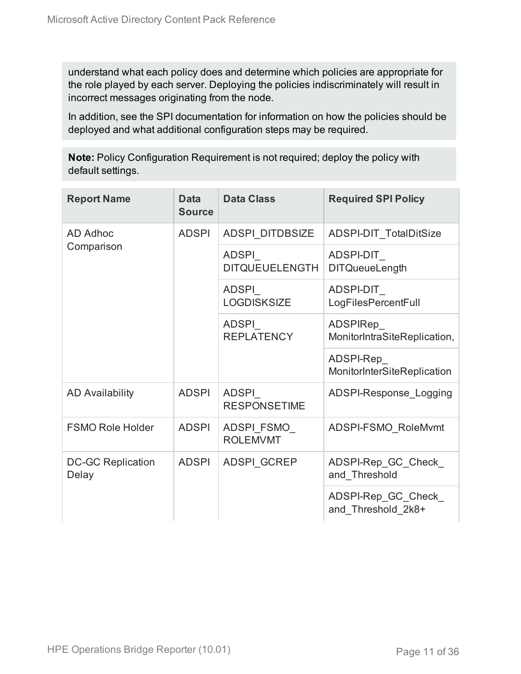understand what each policy does and determine which policies are appropriate for the role played by each server. Deploying the policies indiscriminately will result in incorrect messages originating from the node.

In addition, see the SPI documentation for information on how the policies should be deployed and what additional configuration steps may be required.

**Note:** Policy Configuration Requirement is not required; deploy the policy with default settings.

| <b>Report Name</b>                | <b>Data</b><br><b>Source</b> | <b>Data Class</b>              | <b>Required SPI Policy</b>                |
|-----------------------------------|------------------------------|--------------------------------|-------------------------------------------|
| AD Adhoc                          | <b>ADSPI</b>                 | <b>ADSPI DITDBSIZE</b>         | <b>ADSPI-DIT TotalDitSize</b>             |
| Comparison                        |                              | ADSPI<br><b>DITQUEUELENGTH</b> | ADSPI-DIT<br><b>DITQueueLength</b>        |
|                                   |                              | ADSPI<br><b>LOGDISKSIZE</b>    | ADSPI-DIT<br>LogFilesPercentFull          |
|                                   |                              | ADSPI<br><b>REPLATENCY</b>     | ADSPIRep_<br>MonitorIntraSiteReplication, |
|                                   |                              |                                | ADSPI-Rep<br>MonitorInterSiteReplication  |
| <b>AD Availability</b>            | <b>ADSPI</b>                 | ADSPI<br><b>RESPONSETIME</b>   | ADSPI-Response Logging                    |
| <b>FSMO Role Holder</b>           | <b>ADSPI</b>                 | ADSPI FSMO<br><b>ROLEMVMT</b>  | ADSPI-FSMO RoleMvmt                       |
| <b>DC-GC Replication</b><br>Delay | <b>ADSPI</b>                 | <b>ADSPI GCREP</b>             | ADSPI-Rep_GC_Check_<br>and Threshold      |
|                                   |                              |                                | ADSPI-Rep_GC_Check_<br>and Threshold_2k8+ |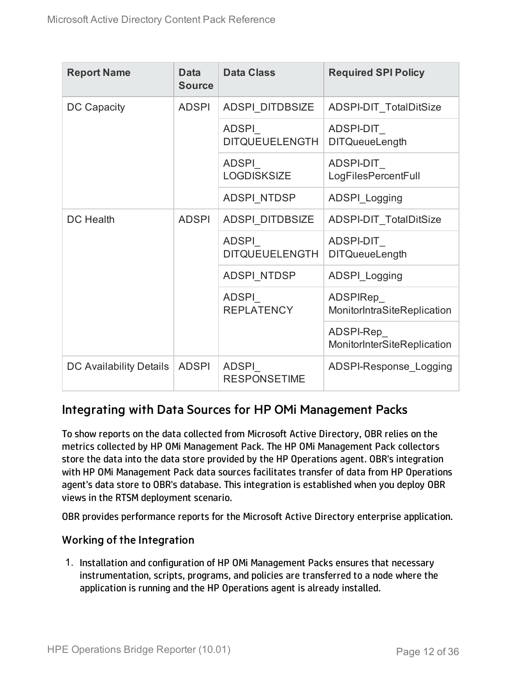| <b>Report Name</b>      | Data<br><b>Source</b> | <b>Data Class</b>              | <b>Required SPI Policy</b>               |  |                                   |                                         |
|-------------------------|-----------------------|--------------------------------|------------------------------------------|--|-----------------------------------|-----------------------------------------|
| DC Capacity             | <b>ADSPI</b>          | <b>ADSPI DITDBSIZE</b>         | <b>ADSPI-DIT TotalDitSize</b>            |  |                                   |                                         |
|                         |                       | ADSPI<br><b>DITQUEUELENGTH</b> | ADSPI-DIT<br><b>DITQueueLength</b>       |  |                                   |                                         |
|                         |                       | ADSPI<br><b>LOGDISKSIZE</b>    | ADSPI-DIT<br>LogFilesPercentFull         |  |                                   |                                         |
|                         |                       | <b>ADSPI NTDSP</b>             | <b>ADSPI Logging</b>                     |  |                                   |                                         |
| <b>DC</b> Health        | <b>ADSPI</b>          | <b>ADSPI DITDBSIZE</b>         | ADSPI-DIT TotalDitSize                   |  |                                   |                                         |
|                         |                       | ADSPI<br><b>DITQUEUELENGTH</b> | ADSPI-DIT<br><b>DITQueueLength</b>       |  |                                   |                                         |
|                         |                       | <b>ADSPI NTDSP</b>             | ADSPI_Logging                            |  |                                   |                                         |
|                         |                       |                                |                                          |  | <b>ADSPI</b><br><b>REPLATENCY</b> | ADSPIRep<br>MonitorIntraSiteReplication |
|                         |                       |                                | ADSPI-Rep<br>MonitorInterSiteReplication |  |                                   |                                         |
| DC Availability Details | <b>ADSPI</b>          | ADSPI<br><b>RESPONSETIME</b>   | ADSPI-Response Logging                   |  |                                   |                                         |

### <span id="page-11-0"></span>Integrating with Data Sources for HP OMi Management Packs

To show reports on the data collected from Microsoft Active Directory, OBR relies on the metrics collected by HP OMi Management Pack. The HP OMi Management Pack collectors store the data into the data store provided by the HP Operations agent. OBR's integration with HP OMi Management Pack data sources facilitates transfer of data from HP Operations agent's data store to OBR's database. This integration is established when you deploy OBR views in the RTSM deployment scenario.

<span id="page-11-1"></span>OBR provides performance reports for the Microsoft Active Directory enterprise application.

#### Working of the Integration

1. Installation and configuration of HP OMi Management Packs ensures that necessary instrumentation, scripts, programs, and policies are transferred to a node where the application is running and the HP Operations agent is already installed.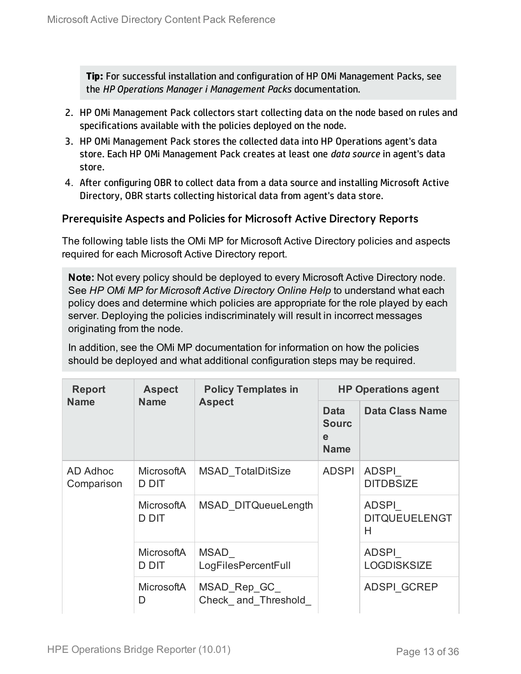**Tip:** For successful installation and configuration of HP OMi Management Packs, see the *HP Operations Manager i Management Packs* documentation.

- 2. HP OMi Management Pack collectors start collecting data on the node based on rules and specifications available with the policies deployed on the node.
- 3. HP OMi Management Pack stores the collected data into HP Operations agent's data store. Each HP OMi Management Pack creates at least one *data source* in agent's data store.
- 4. After configuring OBR to collect data from a data source and installing Microsoft Active Directory, OBR starts collecting historical data from agent's data store.

#### <span id="page-12-0"></span>Prerequisite Aspects and Policies for Microsoft Active Directory Reports

The following table lists the OMi MP for Microsoft Active Directory policies and aspects required for each Microsoft Active Directory report.

**Note:** Not every policy should be deployed to every Microsoft Active Directory node. See *HP OMi MP for Microsoft Active Directory Online Help* to understand what each policy does and determine which policies are appropriate for the role played by each server. Deploying the policies indiscriminately will result in incorrect messages originating from the node.

In addition, see the OMi MP documentation for information on how the policies should be deployed and what additional configuration steps may be required.

| <b>Report</b><br><b>Name</b> | <b>Aspect</b>                     | <b>Policy Templates in</b>          | <b>HP Operations agent</b> |                                           |  |  |
|------------------------------|-----------------------------------|-------------------------------------|----------------------------|-------------------------------------------|--|--|
|                              | <b>Name</b>                       | <b>Aspect</b>                       |                            | Data Class Name                           |  |  |
| AD Adhoc<br>Comparison       | <b>MicrosoftA</b><br>D DIT        | <b>MSAD TotalDitSize</b>            | <b>ADSPI</b>               | <b>ADSPI</b><br><b>DITDBSIZE</b>          |  |  |
|                              | <b>MicrosoftA</b><br>D DIT        | MSAD DITQueueLength                 |                            | <b>ADSPI</b><br><b>DITQUEUELENGT</b><br>Н |  |  |
|                              | <b>MicrosoftA</b><br><b>D DIT</b> | MSAD<br>LogFilesPercentFull         |                            | <b>ADSPI</b><br><b>LOGDISKSIZE</b>        |  |  |
|                              | <b>MicrosoftA</b><br>D            | MSAD_Rep_GC_<br>Check and Threshold |                            | <b>ADSPI GCREP</b>                        |  |  |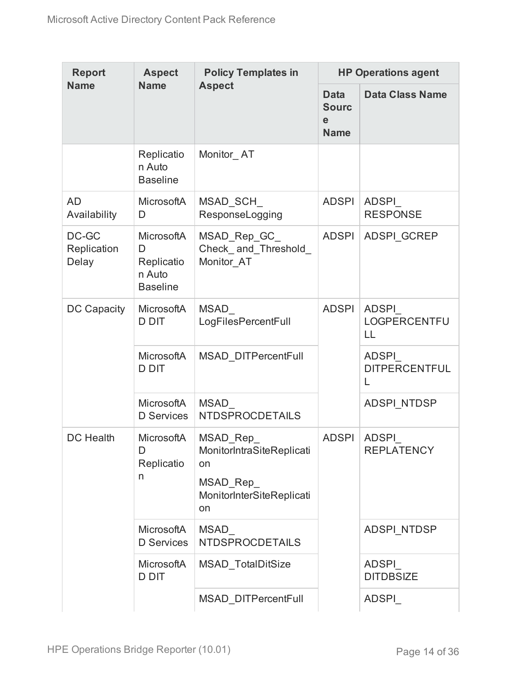| <b>Report</b>                 | <b>Aspect</b>                                              | <b>HP Operations agent</b><br><b>Policy Templates in</b>                                          |                                                           |                                    |
|-------------------------------|------------------------------------------------------------|---------------------------------------------------------------------------------------------------|-----------------------------------------------------------|------------------------------------|
| <b>Name</b>                   | <b>Name</b>                                                | <b>Aspect</b>                                                                                     | <b>Data</b><br><b>Sourc</b><br>$\mathbf e$<br><b>Name</b> | <b>Data Class Name</b>             |
|                               | Replicatio<br>n Auto<br><b>Baseline</b>                    | Monitor_AT                                                                                        |                                                           |                                    |
| <b>AD</b><br>Availability     | MicrosoftA<br>D                                            | MSAD_SCH_<br>ResponseLogging                                                                      | <b>ADSPI</b>                                              | <b>ADSPI</b><br><b>RESPONSE</b>    |
| DC-GC<br>Replication<br>Delay | MicrosoftA<br>D<br>Replicatio<br>n Auto<br><b>Baseline</b> | MSAD_Rep_GC_<br>Check_and_Threshold_<br>Monitor AT                                                | <b>ADSPI</b>                                              | <b>ADSPI GCREP</b>                 |
| DC Capacity                   | MicrosoftA<br><b>D DIT</b>                                 | MSAD<br>LogFilesPercentFull                                                                       | <b>ADSPI</b>                                              | <b>ADSPI</b><br>LOGPERCENTFU<br>LL |
|                               | MicrosoftA<br><b>D DIT</b>                                 | <b>MSAD DITPercentFull</b>                                                                        |                                                           | ADSPI<br><b>DITPERCENTFUL</b>      |
|                               | MicrosoftA<br>D Services                                   | MSAD<br><b>NTDSPROCDETAILS</b>                                                                    |                                                           | ADSPI_NTDSP                        |
| <b>DC Health</b>              | <b>MicrosoftA</b><br>D<br>Replicatio<br>n                  | <b>MSAD Rep</b><br>MonitorIntraSiteReplicati<br>on<br>MSAD Rep<br>MonitorInterSiteReplicati<br>on | <b>ADSPI</b>                                              | <b>ADSPI</b><br><b>REPLATENCY</b>  |
|                               | MicrosoftA<br><b>D</b> Services                            | MSAD<br><b>NTDSPROCDETAILS</b>                                                                    |                                                           | ADSPI NTDSP                        |
|                               | <b>MicrosoftA</b><br>D DIT                                 | MSAD_TotalDitSize                                                                                 |                                                           | <b>ADSPI</b><br><b>DITDBSIZE</b>   |
|                               |                                                            | <b>MSAD DITPercentFull</b>                                                                        |                                                           | <b>ADSPI</b>                       |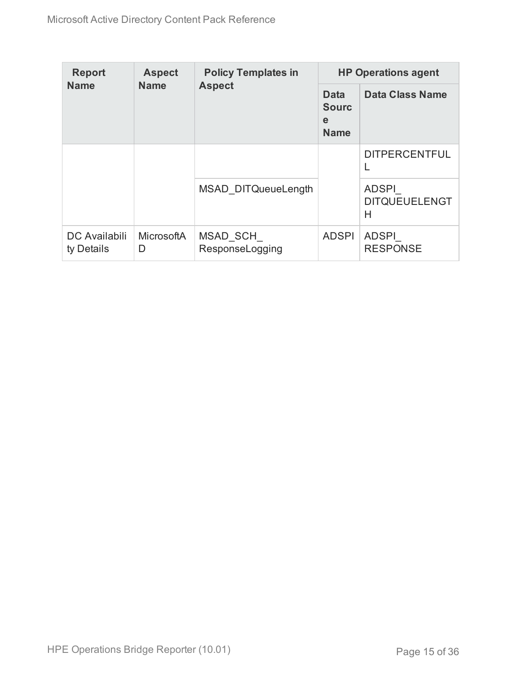| <b>Report</b><br><b>Name</b> | <b>Aspect</b>          | <b>Policy Templates in</b>  | <b>HP Operations agent</b>                      |                                           |  |  |
|------------------------------|------------------------|-----------------------------|-------------------------------------------------|-------------------------------------------|--|--|
|                              | <b>Name</b>            | <b>Aspect</b>               | <b>Data</b><br><b>Sourc</b><br>e<br><b>Name</b> | Data Class Name                           |  |  |
|                              |                        |                             |                                                 | <b>DITPERCENTFUL</b>                      |  |  |
|                              |                        | MSAD DITQueueLength         |                                                 | <b>ADSPI</b><br><b>DITQUEUELENGT</b><br>Н |  |  |
| DC Availabili<br>ty Details  | <b>MicrosoftA</b><br>D | MSAD SCH<br>ResponseLogging | <b>ADSPI</b>                                    | <b>ADSPI</b><br><b>RESPONSE</b>           |  |  |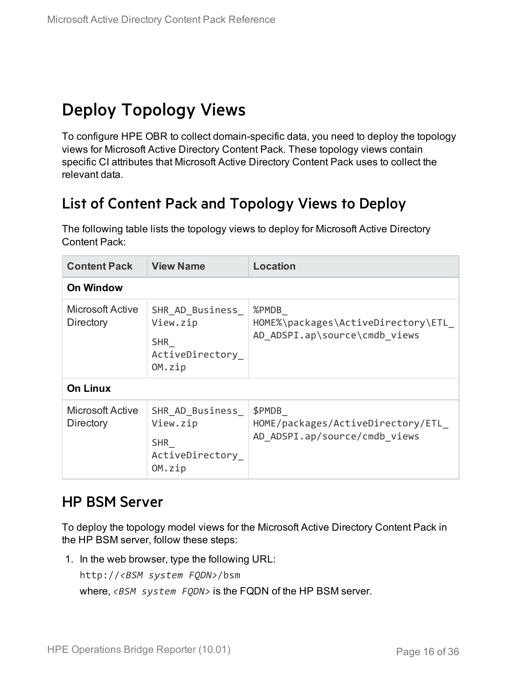## <span id="page-15-0"></span>Deploy Topology Views

To configure HPE OBR to collect domain-specific data, you need to deploy the topology views for Microsoft Active Directory Content Pack. These topology views contain specific CI attributes that Microsoft Active Directory Content Pack uses to collect the relevant data.

### <span id="page-15-1"></span>List of Content Pack and Topology Views to Deploy

The following table lists the topology views to deploy for Microsoft Active Directory Content Pack:

| <b>Content Pack</b>                  | <b>View Name</b>                                                       | <b>Location</b>                                                              |
|--------------------------------------|------------------------------------------------------------------------|------------------------------------------------------------------------------|
| <b>On Window</b>                     |                                                                        |                                                                              |
| Microsoft Active<br>Directory        | SHR AD Business<br>View.zip<br><b>SHR</b><br>ActiveDirectory<br>OM.zip | %PMDB<br>HOME%\packages\ActiveDirectory\ETL<br>AD ADSPI.ap\source\cmdb views |
| <b>On Linux</b>                      |                                                                        |                                                                              |
| <b>Microsoft Active</b><br>Directory | SHR AD Business<br>View.zip<br><b>SHR</b><br>ActiveDirectory<br>OM.zip | \$PMDB<br>HOME/packages/ActiveDirectory/ETL<br>AD ADSPI.ap/source/cmdb views |

### <span id="page-15-2"></span>HP BSM Server

To deploy the topology model views for the Microsoft Active Directory Content Pack in the HP BSM server, follow these steps:

1. In the web browser, type the following URL:

http://*<BSM system FQDN>*/bsm

where, *<BSM system FQDN>* is the FQDN of the HP BSM server.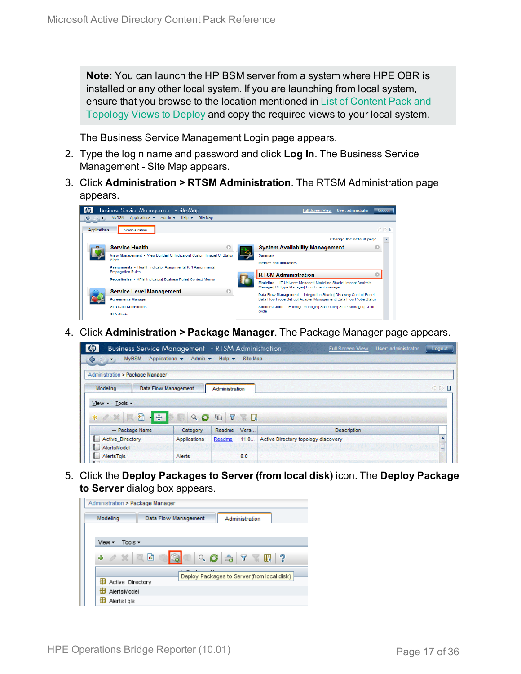**Note:** You can launch the HP BSM server from a system where HPE OBR is installed or any other local system. If you are launching from local system, ensure that you browse to the location mentioned in List of [Content](#page-15-1) Pack and [Topology](#page-15-1) Views to Deploy and copy the required views to your local system.

The Business Service Management Login page appears.

- 2. Type the login name and password and click **Log In**. The Business Service Management - Site Map appears.
- 3. Click **Administration > RTSM Administration**. The RTSM Administration page appears.

| ⇔            | <b>Business Service Management</b> - Site Map<br>Applications $\star$ Admin $\star$ Help $\star$<br><b>MVBSM</b><br>Site Map | <b>Full Screen View</b><br>User: administrator<br>Logout                                                         |
|--------------|------------------------------------------------------------------------------------------------------------------------------|------------------------------------------------------------------------------------------------------------------|
| Applications | Administration                                                                                                               | ◁▷■                                                                                                              |
|              |                                                                                                                              | Change the default page                                                                                          |
|              | <b>Service Health</b>                                                                                                        | <b>System Availability Management</b>                                                                            |
|              | View Management - View Builder  CI Indicators  Custom Image  CI Status<br>Alerts                                             | Summary<br><b>Metrics and Indicators</b>                                                                         |
|              | Assignments - Health Indicator Assignments KPI Assignments<br><b>Propagation Rules</b>                                       | <b>RTSM Administration</b>                                                                                       |
|              | Repositories - KPIsl IndicatorsI Business RulesI Context Menus                                                               | Modeling - IT Universe Manager  Modeling Studio  Impact Analysis<br>Manager  CI Type Manager  Enrichment manager |
|              | <b>Service Level Management</b>                                                                                              | Data Flow Management - Integration Studiol Discovery Control Panell                                              |
|              | <b>Agreements Manager</b>                                                                                                    | Data Flow Probe Set up  Adapter Management  Data Flow Probe Status                                               |
|              | <b>SLA Data Corrections</b>                                                                                                  | Administration - Package Manager  Scheduler  State Manager  CI life                                              |
|              | <b>SLA Alerts</b>                                                                                                            | ovde                                                                                                             |

4. Click **Administration > Package Manager**. The Package Manager page appears.

| <b>Business Service Management</b> - RTSM Administration |                                 |                           |                     | User: administrator<br><b>Full Screen View</b> | Logout |
|----------------------------------------------------------|---------------------------------|---------------------------|---------------------|------------------------------------------------|--------|
| <b>MyBSM</b><br>♦<br>$\leftrightarrow$                   | Applications v<br>Admin $\star$ | Help $\blacktriangledown$ | Site Map            |                                                |        |
| Administration > Package Manager                         |                                 |                           |                     |                                                |        |
| Modeling                                                 | <b>Data Flow Management</b>     | Administration            |                     |                                                | ○○■    |
| Tools -<br>$View -$                                      |                                 |                           |                     |                                                |        |
| €<br>$-45.$<br>$*$ $\alpha$ $\mathbb{R}$                 | C<br>$\alpha$                   | Y<br>G                    | $\mathbb{R}$<br>TE. |                                                |        |
| $\angle$ Package Name                                    | Category                        | Readme                    | Vers                | <b>Description</b>                             |        |
| <b>Active Directory</b><br><b>A</b> and                  | Applications                    | Readme                    | 11.0                | Active Directory topology discovery            |        |
| AlertsModel<br>u.                                        |                                 |                           |                     |                                                | ≣      |
| ı.<br>AlertsTgls                                         | Alerts                          |                           | 8.0                 |                                                |        |

5. Click the **Deploy Packages to Server (from local disk)** icon. The **Deploy Package to Server** dialog box appears.

| Administration > Package Manager |                      |                                                 |
|----------------------------------|----------------------|-------------------------------------------------|
| Modeling                         | Data Flow Management | Administration                                  |
|                                  |                      |                                                 |
| Tools $\sim$<br>View -           |                      |                                                 |
| $\alpha \times \alpha$<br>÷      | Q                    | $\bullet \quad \nabla \quad \mathbb{R} \quad ?$ |
|                                  |                      | Deploy Packages to Server (from local disk)     |
| Active Directory                 |                      |                                                 |
| H<br>Alerts Model                |                      |                                                 |
| ÷<br>AlertsTals                  |                      |                                                 |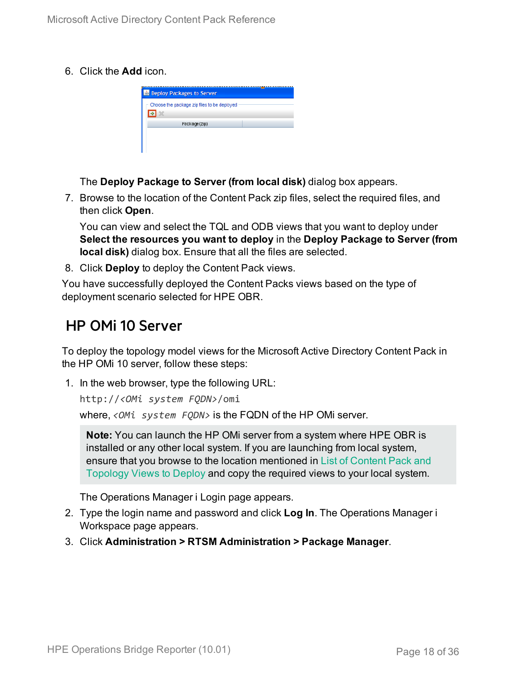6. Click the **Add** icon.

| <b>B</b> Deploy Packages to Server          |  |
|---------------------------------------------|--|
| Choose the package zip files to be deployed |  |
|                                             |  |
| Package(zip)                                |  |
|                                             |  |
|                                             |  |

The **Deploy Package to Server (from local disk)** dialog box appears.

7. Browse to the location of the Content Pack zip files, select the required files, and then click **Open**.

You can view and select the TQL and ODB views that you want to deploy under **Select the resources you want to deploy** in the **Deploy Package to Server (from local disk)** dialog box. Ensure that all the files are selected.

8. Click **Deploy** to deploy the Content Pack views.

You have successfully deployed the Content Packs views based on the type of deployment scenario selected for HPE OBR.

### <span id="page-17-0"></span>HP OMi 10 Server

To deploy the topology model views for the Microsoft Active Directory Content Pack in the HP OMi 10 server, follow these steps:

1. In the web browser, type the following URL:

```
http://<OMi system FQDN>/omi
```
where, *<OMi system FQDN>* is the FQDN of the HP OMi server.

**Note:** You can launch the HP OMi server from a system where HPE OBR is installed or any other local system. If you are launching from local system, ensure that you browse to the location mentioned in List of [Content](#page-15-1) Pack and [Topology](#page-15-1) Views to Deploy and copy the required views to your local system.

The Operations Manager i Login page appears.

- 2. Type the login name and password and click **Log In**. The Operations Manager i Workspace page appears.
- 3. Click **Administration > RTSM Administration > Package Manager**.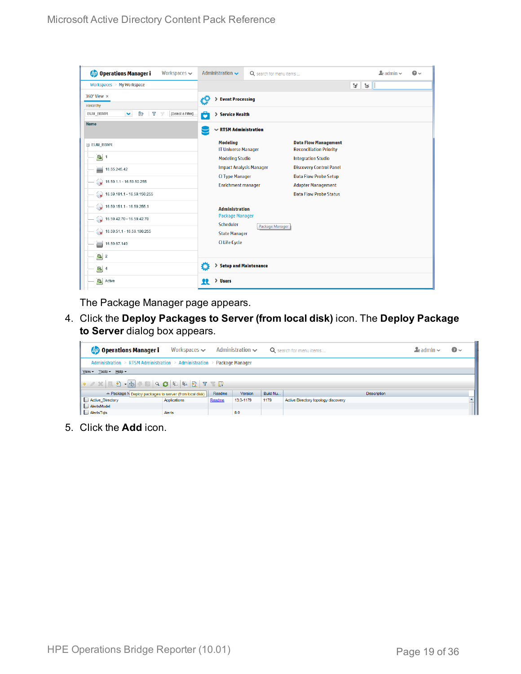| <b>Operations Manager i</b><br>Workspaces $\sim$ | Administration $\sim$                         | Q search for menu items |                                                               | $\Delta$ admin $\sim$ | $\Omega$ |
|--------------------------------------------------|-----------------------------------------------|-------------------------|---------------------------------------------------------------|-----------------------|----------|
| Workspaces > My Workspace                        |                                               |                         |                                                               | V<br>$\mathbb{H}$     |          |
| 360° View x                                      | > Event Processing<br>łд                      |                         |                                                               |                       |          |
| Hierarchy<br>[Select a Filter]                   |                                               |                         |                                                               |                       |          |
| EUM_BSMR<br>È<br>Y<br>v<br>$\overline{Y}$        | 6<br>> Service Health                         |                         |                                                               |                       |          |
| Name                                             | $\sim$ RTSM Administration                    |                         |                                                               |                       |          |
| E EUM_BSMR                                       | <b>Modeling</b><br><b>IT Universe Manager</b> |                         | <b>Data Flow Management</b><br><b>Reconciliation Priority</b> |                       |          |
| $\Theta$ 1                                       | <b>Modeling Studio</b>                        |                         | <b>Integration Studio</b>                                     |                       |          |
| 16.55.245.42<br>ᇦ                                | <b>Impact Analysis Manager</b>                |                         | <b>Discovery Control Panel</b>                                |                       |          |
| $\rightarrow$ 16.59.1.1 - 16.59.50.255           | <b>CI Type Manager</b>                        |                         | <b>Data Flow Probe Setup</b>                                  |                       |          |
|                                                  | <b>Enrichment manager</b>                     |                         | <b>Adapter Management</b>                                     |                       |          |
| $\bigotimes$ 16.59.101.1 - 16.59.150.255         |                                               |                         | <b>Data Flow Probe Status</b>                                 |                       |          |
| $\bigotimes$ 16.59.151.1 - 16.59.255.1           | <b>Administration</b>                         |                         |                                                               |                       |          |
| 16.59.42.70 - 16.59.42.70                        | <b>Package Manager</b><br><b>Scheduler</b>    |                         |                                                               |                       |          |
| $\bigotimes$ 16.59.51.1 - 16.59.100.255          | <b>State Manager</b>                          | Package Manager         |                                                               |                       |          |
| 16.59.67.149<br>▄                                | <b>CI Life Cycle</b>                          |                         |                                                               |                       |          |
| $\left[ \bigcirc \right]$ 2                      |                                               |                         |                                                               |                       |          |
| $\Theta$ 4                                       | Ö<br>> Setup and Maintenance                  |                         |                                                               |                       |          |
| $\mathbf{C}$<br>Active                           | > Users<br>22                                 |                         |                                                               |                       |          |

The Package Manager page appears.

4. Click the **Deploy Packages to Server (from local disk)** icon. The **Deploy Package to Server** dialog box appears.

| <b>Operations Manager i</b>                                                                                           | Workspaces $\smile$ |        | Administration $\sim$ |      | Q search for menu items             | $\blacktriangle$ r admin $\blacktriangleright$ | $\odot$ |  |  |
|-----------------------------------------------------------------------------------------------------------------------|---------------------|--------|-----------------------|------|-------------------------------------|------------------------------------------------|---------|--|--|
| Administration > RTSM Administration > Administration > Package Manager                                               |                     |        |                       |      |                                     |                                                |         |  |  |
| View - Tools - Help -                                                                                                 |                     |        |                       |      |                                     |                                                |         |  |  |
|                                                                                                                       |                     |        |                       |      |                                     |                                                |         |  |  |
| <b>Version</b><br>≐ Package N Deploy packages to server (from local disk)<br>Readme<br>Build Nu<br><b>Description</b> |                     |        |                       |      |                                     |                                                |         |  |  |
| Active_Directory                                                                                                      | Applications        | Readme | 13.0-1179             | 1179 | Active Directory topology discovery |                                                |         |  |  |
| AlertsModel                                                                                                           |                     |        |                       |      |                                     |                                                |         |  |  |
| AlertsTqls                                                                                                            | Alerts              |        | 8.0                   |      |                                     |                                                |         |  |  |

5. Click the **Add** icon.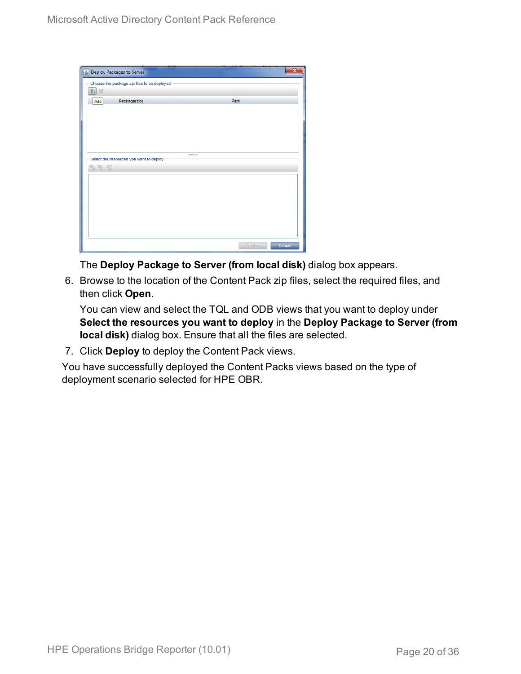| Deploy Packages to Server                   |        | ×      |
|---------------------------------------------|--------|--------|
| Choose the package zip files to be deployed |        |        |
| 串 ※                                         |        |        |
| Package(zip)<br>Add                         | Path   |        |
|                                             |        |        |
|                                             |        |        |
|                                             |        |        |
|                                             |        |        |
| Select the resources you want to deploy     |        |        |
| 名马路                                         |        |        |
|                                             |        |        |
|                                             |        |        |
|                                             |        |        |
|                                             |        |        |
|                                             |        |        |
|                                             |        |        |
|                                             |        |        |
|                                             | Deploy | Cancel |

The **Deploy Package to Server (from local disk)** dialog box appears.

6. Browse to the location of the Content Pack zip files, select the required files, and then click **Open**.

You can view and select the TQL and ODB views that you want to deploy under **Select the resources you want to deploy** in the **Deploy Package to Server (from local disk)** dialog box. Ensure that all the files are selected.

7. Click **Deploy** to deploy the Content Pack views.

You have successfully deployed the Content Packs views based on the type of deployment scenario selected for HPE OBR.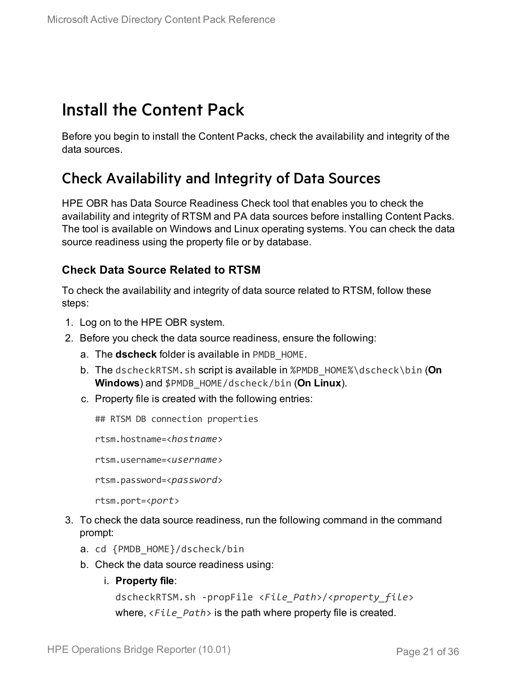## <span id="page-20-0"></span>Install the Content Pack

Before you begin to install the Content Packs, check the availability and integrity of the data sources.

### <span id="page-20-1"></span>Check Availability and Integrity of Data Sources

HPE OBR has Data Source Readiness Check tool that enables you to check the availability and integrity of RTSM and PA data sources before installing Content Packs. The tool is available on Windows and Linux operating systems. You can check the data source readiness using the property file or by database.

#### **Check Data Source Related to RTSM**

To check the availability and integrity of data source related to RTSM, follow these steps:

- 1. Log on to the HPE OBR system.
- 2. Before you check the data source readiness, ensure the following:
	- a. The **dscheck** folder is available in PMDB\_HOME.
	- b. The dscheckRTSM.sh script is available in %PMDB\_HOME%\dscheck\bin (**On Windows**) and \$PMDB\_HOME/dscheck/bin (**On Linux**).
	- c. Property file is created with the following entries:

## RTSM DB connection properties

rtsm.hostname=<*hostname*>

rtsm.username=<*username*>

rtsm.password=<*password*>

rtsm.port=<*port*>

- 3. To check the data source readiness, run the following command in the command prompt:
	- a. cd {PMDB\_HOME}/dscheck/bin
	- b. Check the data source readiness using:
		- i. **Property file**:

```
dscheckRTSM.sh -propFile <File_Path>/<property_file>
where, <File_Path> is the path where property file is created.
```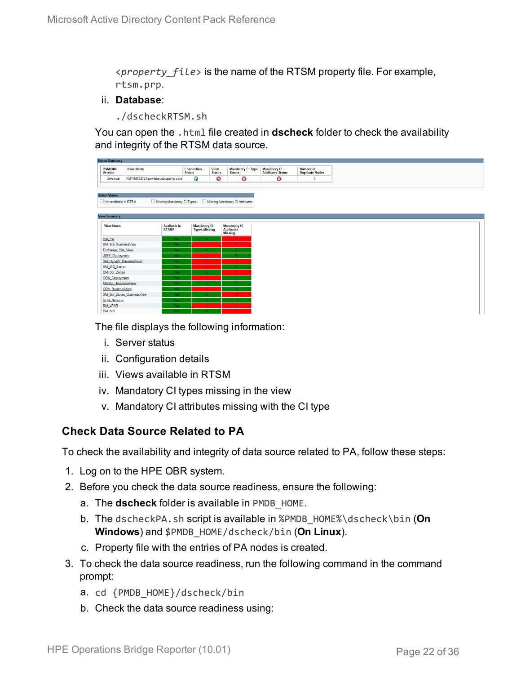<*property\_file*> is the name of the RTSM property file. For example, rtsm.prp.

#### ii. **Database**:

./dscheckRTSM.sh

You can open the .html file created in **dscheck** folder to check the availability and integrity of the RTSM data source.

| <b>Status Summary</b>            |                                   |               |                      |                              |                                           |  |                                           |  |
|----------------------------------|-----------------------------------|---------------|----------------------|------------------------------|-------------------------------------------|--|-------------------------------------------|--|
| <b>BSM/OMi</b><br><b>Version</b> | <b>Host Name</b>                  | <b>Status</b> | Connection           | <b>View</b><br><b>Status</b> | <b>Mandatory CI Type</b><br><b>Status</b> |  | <b>Mandatory CI<br/>Attributes Status</b> |  |
| Unknown                          | IWFVM02277.hpswlabs.adapps.hp.com |               | Ø                    | Ø                            | 0                                         |  | $\bullet$                                 |  |
|                                  |                                   |               |                      |                              |                                           |  |                                           |  |
|                                  |                                   |               |                      |                              |                                           |  |                                           |  |
| <b>Select Views:</b>             |                                   |               |                      |                              |                                           |  |                                           |  |
| Not available in RTSM            | Missing Mandatory CI Types        |               |                      |                              | Missing Mandatory CI Attributes           |  |                                           |  |
|                                  |                                   |               |                      |                              |                                           |  |                                           |  |
| <b>View Summary</b>              |                                   |               |                      |                              |                                           |  |                                           |  |
|                                  |                                   |               |                      |                              |                                           |  |                                           |  |
| <b>View Name</b>                 | <b>Available in</b>               |               | <b>Mandatory CI</b>  |                              | <b>Mandatory CI</b>                       |  |                                           |  |
|                                  | RTSM?                             |               | <b>Types Missing</b> |                              | <b>Attributes</b><br><b>Missing</b>       |  |                                           |  |
| SM_PA                            |                                   | Yes.          |                      |                              | $\Delta$                                  |  |                                           |  |
| SM SiS BusinessView              |                                   | Yes:          |                      |                              |                                           |  |                                           |  |
| Exchange Site View               |                                   | Yes.          |                      |                              |                                           |  |                                           |  |
| J2EE_Deployment                  |                                   | Yes.          |                      |                              |                                           |  |                                           |  |
| SM_HyperV_BusinessView           |                                   | Yes:          |                      |                              |                                           |  |                                           |  |
| SM_SiS_Server                    |                                   | Yes:          |                      |                              |                                           |  |                                           |  |
| SM Sol Zones                     |                                   | Yes:          |                      |                              |                                           |  |                                           |  |
| <b>ORA</b> Deployment            |                                   | Yes:          |                      |                              |                                           |  |                                           |  |
| MSSQL BusinessView               |                                   | Yes:          |                      |                              |                                           |  |                                           |  |
| <b>ORA BusinessView</b>          |                                   | Yes:          |                      |                              |                                           |  |                                           |  |
|                                  | SM_Sol_Zones_BusinessView         | Yes:          |                      |                              | 12 <sub>1</sub>                           |  |                                           |  |
| <b>SHR_Network</b>               |                                   | <b>Yes</b>    |                      |                              |                                           |  |                                           |  |
| <b>SM_LPAR</b>                   |                                   | Yes:          |                      |                              |                                           |  |                                           |  |
| SM SiS                           |                                   | Yes:          |                      |                              |                                           |  |                                           |  |

The file displays the following information:

- i. Server status
- ii. Configuration details
- iii. Views available in RTSM
- iv. Mandatory CI types missing in the view
- v. Mandatory CI attributes missing with the CI type

#### **Check Data Source Related to PA**

To check the availability and integrity of data source related to PA, follow these steps:

- 1. Log on to the HPE OBR system.
- 2. Before you check the data source readiness, ensure the following:
	- a. The **dscheck** folder is available in PMDB\_HOME.
	- b. The dscheckPA.sh script is available in %PMDB\_HOME%\dscheck\bin (**On Windows**) and \$PMDB\_HOME/dscheck/bin (**On Linux**).
	- c. Property file with the entries of PA nodes is created.
- 3. To check the data source readiness, run the following command in the command prompt:
	- a. cd {PMDB\_HOME}/dscheck/bin
	- b. Check the data source readiness using: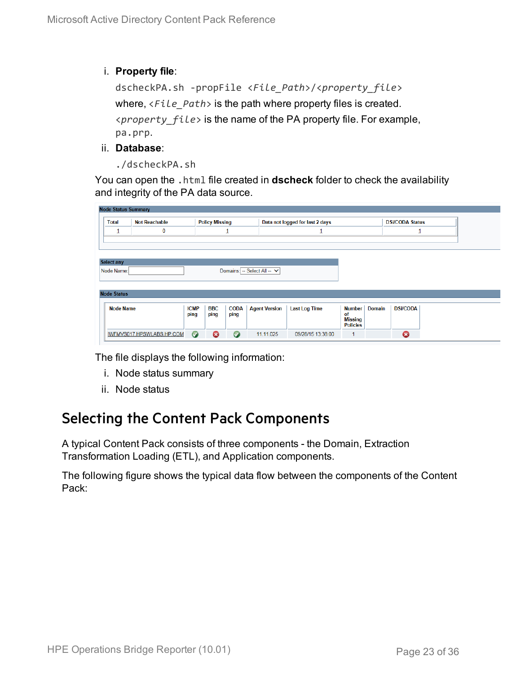#### i. **Property file**:

```
dscheckPA.sh -propFile <File_Path>/<property_file>
where, <File_Path> is the path where property files is created.
<property_file> is the name of the PA property file. For example,
pa.prp.
```
- ii. **Database**:
	- ./dscheckPA.sh

You can open the .html file created in **dscheck** folder to check the availability and integrity of the PA data source.

|                    | <b>Node Status Summary</b>                    |                           |                             |                                 |                      |                      |                        |                 |  |
|--------------------|-----------------------------------------------|---------------------------|-----------------------------|---------------------------------|----------------------|----------------------|------------------------|-----------------|--|
| <b>Total</b>       | <b>Not Reachable</b><br><b>Policy Missing</b> |                           |                             | Data not logged for last 2 days |                      |                      | <b>DSi/CODA Status</b> |                 |  |
|                    | 0                                             | ┚                         |                             |                                 | ц                    |                      |                        |                 |  |
|                    |                                               |                           |                             |                                 |                      |                      |                        |                 |  |
|                    |                                               |                           |                             |                                 |                      |                      |                        |                 |  |
| <b>Select any</b>  |                                               |                           |                             |                                 |                      |                      |                        |                 |  |
| Node Name:         |                                               |                           | Domains: -- Select All -- V |                                 |                      |                      |                        |                 |  |
|                    |                                               |                           |                             |                                 |                      |                      |                        |                 |  |
|                    |                                               |                           |                             |                                 |                      |                      |                        |                 |  |
|                    |                                               |                           |                             |                                 |                      |                      |                        |                 |  |
| <b>Node Status</b> |                                               |                           |                             |                                 |                      |                      |                        |                 |  |
| <b>Node Name</b>   |                                               | <b>ICMP</b><br><b>BBC</b> | <b>CODA</b>                 | <b>Agent Version</b>            | <b>Last Log Time</b> | Number               | <b>Domain</b>          | <b>DSi/CODA</b> |  |
|                    |                                               | ping<br>ping              | ping                        |                                 |                      | of<br><b>Missing</b> |                        |                 |  |
|                    |                                               |                           |                             |                                 |                      | <b>Policies</b>      |                        |                 |  |

The file displays the following information:

- i. Node status summary
- ii. Node status

### <span id="page-22-0"></span>Selecting the Content Pack Components

A typical Content Pack consists of three components - the Domain, Extraction Transformation Loading (ETL), and Application components.

The following figure shows the typical data flow between the components of the Content Pack: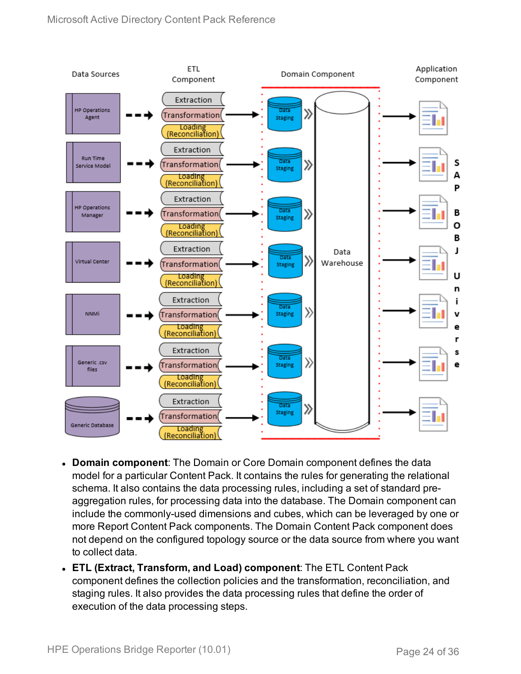

- **. Domain component:** The Domain or Core Domain component defines the data model for a particular Content Pack. It contains the rules for generating the relational schema. It also contains the data processing rules, including a set of standard preaggregation rules, for processing data into the database. The Domain component can include the commonly-used dimensions and cubes, which can be leveraged by one or more Report Content Pack components. The Domain Content Pack component does not depend on the configured topology source or the data source from where you want to collect data.
- <sup>l</sup> **ETL (Extract, Transform, and Load) component**: The ETL Content Pack component defines the collection policies and the transformation, reconciliation, and staging rules. It also provides the data processing rules that define the order of execution of the data processing steps.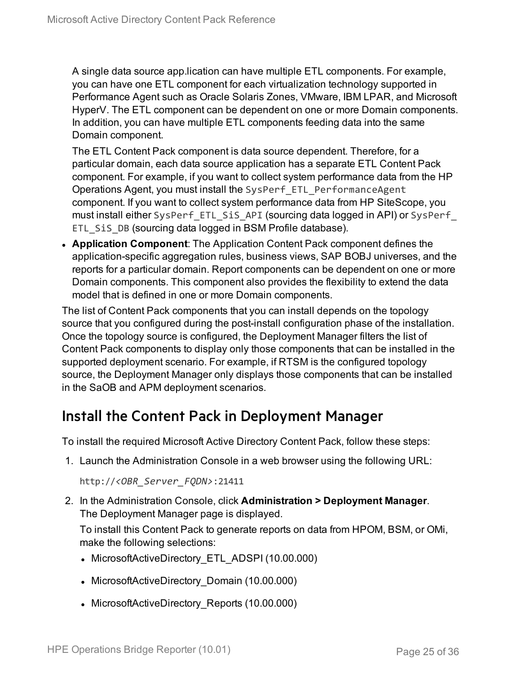A single data source app.lication can have multiple ETL components. For example, you can have one ETL component for each virtualization technology supported in Performance Agent such as Oracle Solaris Zones, VMware, IBM LPAR, and Microsoft HyperV. The ETL component can be dependent on one or more Domain components. In addition, you can have multiple ETL components feeding data into the same Domain component.

The ETL Content Pack component is data source dependent. Therefore, for a particular domain, each data source application has a separate ETL Content Pack component. For example, if you want to collect system performance data from the HP Operations Agent, you must install the SysPerf\_ETL\_PerformanceAgent component. If you want to collect system performance data from HP SiteScope, you must install either SysPerf ETL SiS API (sourcing data logged in API) or SysPerf ETL\_SiS\_DB (sourcing data logged in BSM Profile database).

**Application Component**: The Application Content Pack component defines the application-specific aggregation rules, business views, SAP BOBJ universes, and the reports for a particular domain. Report components can be dependent on one or more Domain components. This component also provides the flexibility to extend the data model that is defined in one or more Domain components.

The list of Content Pack components that you can install depends on the topology source that you configured during the post-install configuration phase of the installation. Once the topology source is configured, the Deployment Manager filters the list of Content Pack components to display only those components that can be installed in the supported deployment scenario. For example, if RTSM is the configured topology source, the Deployment Manager only displays those components that can be installed in the SaOB and APM deployment scenarios.

### <span id="page-24-0"></span>Install the Content Pack in Deployment Manager

To install the required Microsoft Active Directory Content Pack, follow these steps:

1. Launch the Administration Console in a web browser using the following URL:

```
http://<OBR_Server_FQDN>:21411
```
2. In the Administration Console, click **Administration > Deployment Manager**. The Deployment Manager page is displayed.

To install this Content Pack to generate reports on data from HPOM, BSM, or OMi, make the following selections:

- MicrosoftActiveDirectory ETL ADSPI (10.00.000)
- MicrosoftActiveDirectory Domain (10.00.000)
- MicrosoftActiveDirectory Reports (10.00.000)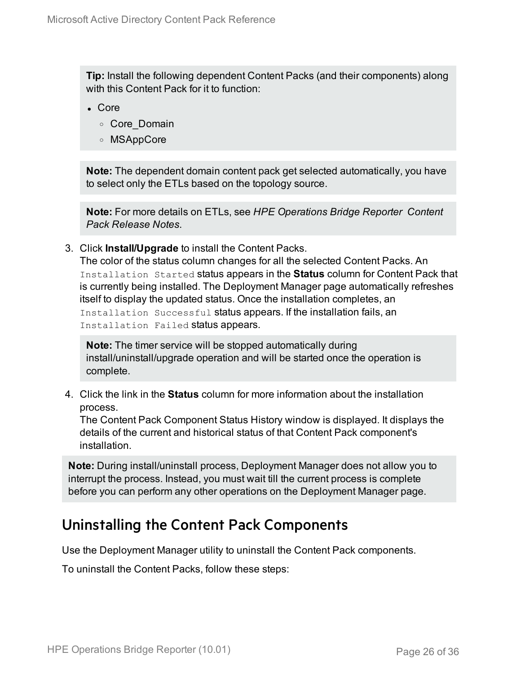**Tip:** Install the following dependent Content Packs (and their components) along with this Content Pack for it to function:

- Core
	- <sup>o</sup> Core\_Domain
	- <sup>o</sup> MSAppCore

**Note:** The dependent domain content pack get selected automatically, you have to select only the ETLs based on the topology source.

**Note:** For more details on ETLs, see *HPE Operations Bridge Reporter Content Pack Release Notes*.

3. Click **Install/Upgrade** to install the Content Packs.

The color of the status column changes for all the selected Content Packs. An Installation Started status appears in the **Status** column for Content Pack that is currently being installed. The Deployment Manager page automatically refreshes itself to display the updated status. Once the installation completes, an Installation Successful status appears. If the installation fails, an Installation Failed status appears.

**Note:** The timer service will be stopped automatically during install/uninstall/upgrade operation and will be started once the operation is complete.

4. Click the link in the **Status** column for more information about the installation process.

The Content Pack Component Status History window is displayed. It displays the details of the current and historical status of that Content Pack component's installation.

**Note:** During install/uninstall process, Deployment Manager does not allow you to interrupt the process. Instead, you must wait till the current process is complete before you can perform any other operations on the Deployment Manager page.

### <span id="page-25-0"></span>Uninstalling the Content Pack Components

Use the Deployment Manager utility to uninstall the Content Pack components.

To uninstall the Content Packs, follow these steps: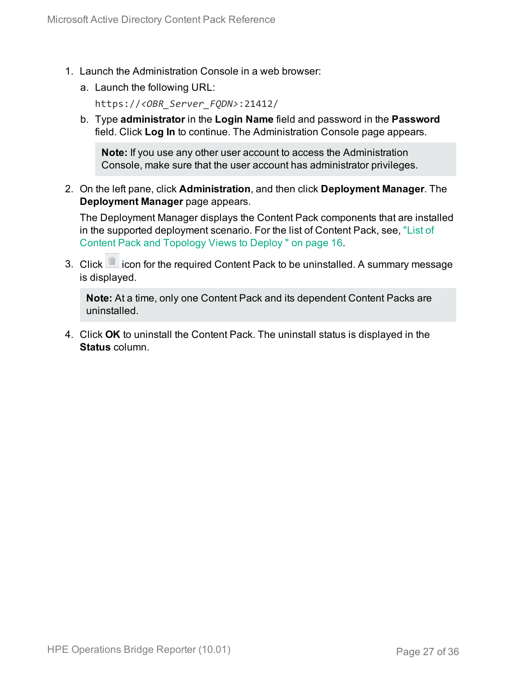- 1. Launch the Administration Console in a web browser:
	- a. Launch the following URL:

https://*<OBR\_Server\_FQDN>*:21412/

b. Type **administrator** in the **Login Name** field and password in the **Password** field. Click **Log In** to continue. The Administration Console page appears.

**Note:** If you use any other user account to access the Administration Console, make sure that the user account has administrator privileges.

2. On the left pane, click **Administration**, and then click **Deployment Manager**. The **Deployment Manager** page appears.

The Deployment Manager displays the Content Pack components that are installed in the supported deployment scenario. For the list of Content Pack, see, ["List](#page-15-1) of Content Pack and [Topology](#page-15-1) Views to Deploy " on page 16.

3. Click icon for the required Content Pack to be uninstalled. A summary message is displayed.

**Note:** At a time, only one Content Pack and its dependent Content Packs are uninstalled.

4. Click **OK** to uninstall the Content Pack. The uninstall status is displayed in the **Status** column.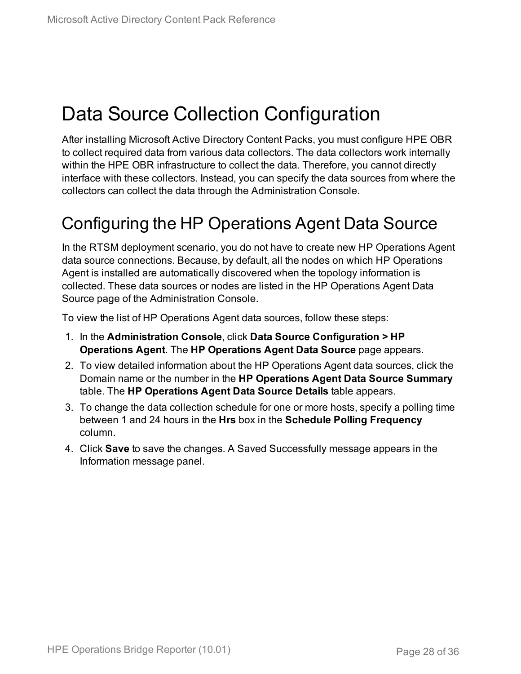## <span id="page-27-0"></span>Data Source Collection Configuration

After installing Microsoft Active Directory Content Packs, you must configure HPE OBR to collect required data from various data collectors. The data collectors work internally within the HPE OBR infrastructure to collect the data. Therefore, you cannot directly interface with these collectors. Instead, you can specify the data sources from where the collectors can collect the data through the Administration Console.

## <span id="page-27-1"></span>Configuring the HP Operations Agent Data Source

In the RTSM deployment scenario, you do not have to create new HP Operations Agent data source connections. Because, by default, all the nodes on which HP Operations Agent is installed are automatically discovered when the topology information is collected. These data sources or nodes are listed in the HP Operations Agent Data Source page of the Administration Console.

To view the list of HP Operations Agent data sources, follow these steps:

- 1. In the **Administration Console**, click **Data Source Configuration > HP Operations Agent**. The **HP Operations Agent Data Source** page appears.
- 2. To view detailed information about the HP Operations Agent data sources, click the Domain name or the number in the **HP Operations Agent Data Source Summary** table. The **HP Operations Agent Data Source Details** table appears.
- 3. To change the data collection schedule for one or more hosts, specify a polling time between 1 and 24 hours in the **Hrs** box in the **Schedule Polling Frequency** column.
- 4. Click **Save** to save the changes. A Saved Successfully message appears in the Information message panel.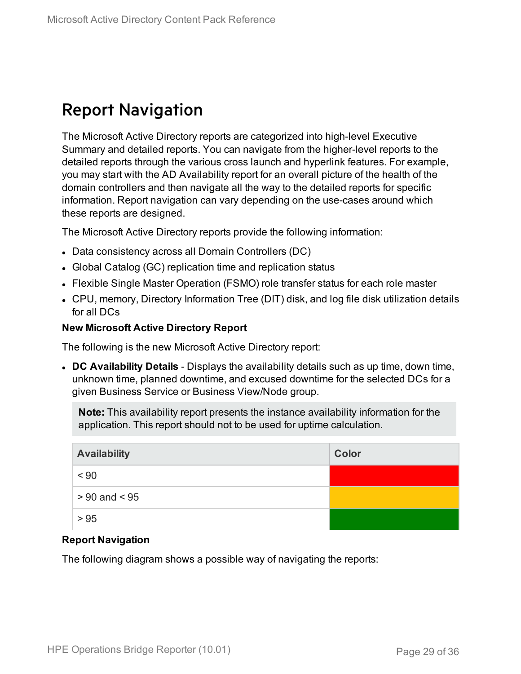## <span id="page-28-0"></span>Report Navigation

The Microsoft Active Directory reports are categorized into high-level Executive Summary and detailed reports. You can navigate from the higher-level reports to the detailed reports through the various cross launch and hyperlink features. For example, you may start with the AD Availability report for an overall picture of the health of the domain controllers and then navigate all the way to the detailed reports for specific information. Report navigation can vary depending on the use-cases around which these reports are designed.

The Microsoft Active Directory reports provide the following information:

- Data consistency across all Domain Controllers (DC)
- Global Catalog (GC) replication time and replication status
- Flexible Single Master Operation (FSMO) role transfer status for each role master
- CPU, memory, Directory Information Tree (DIT) disk, and log file disk utilization details for all DCs

#### **New Microsoft Active Directory Report**

The following is the new Microsoft Active Directory report:

<sup>l</sup> **DC Availability Details** - Displays the availability details such as up time, down time, unknown time, planned downtime, and excused downtime for the selected DCs for a given Business Service or Business View/Node group.

**Note:** This availability report presents the instance availability information for the application. This report should not to be used for uptime calculation.

| <b>Availability</b> | Color |
|---------------------|-------|
| < 90                |       |
| $> 90$ and $< 95$   |       |
| > 95                |       |

#### **Report Navigation**

The following diagram shows a possible way of navigating the reports: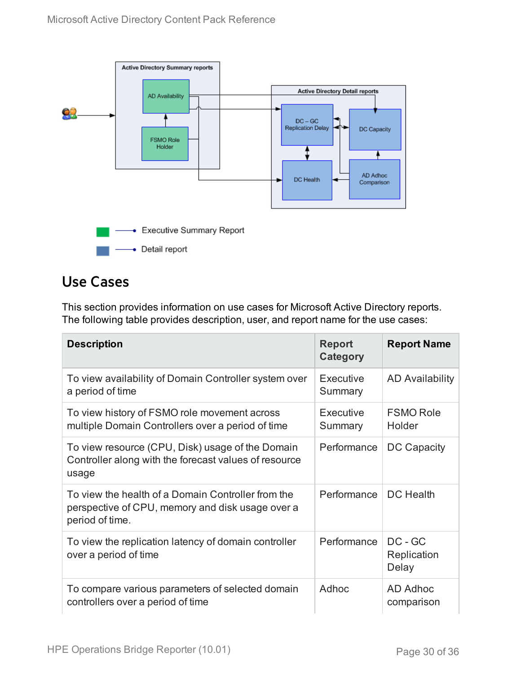

### <span id="page-29-0"></span>Use Cases

This section provides information on use cases for Microsoft Active Directory reports. The following table provides description, user, and report name for the use cases:

| <b>Description</b>                                                                                                        | <b>Report</b><br>Category | <b>Report Name</b>              |
|---------------------------------------------------------------------------------------------------------------------------|---------------------------|---------------------------------|
| To view availability of Domain Controller system over<br>a period of time                                                 | Executive<br>Summary      | <b>AD Availability</b>          |
| To view history of FSMO role movement across<br>multiple Domain Controllers over a period of time                         | Executive<br>Summary      | <b>FSMO Role</b><br>Holder      |
| To view resource (CPU, Disk) usage of the Domain<br>Controller along with the forecast values of resource<br>usage        | Performance               | <b>DC Capacity</b>              |
| To view the health of a Domain Controller from the<br>perspective of CPU, memory and disk usage over a<br>period of time. | Performance               | DC Health                       |
| To view the replication latency of domain controller<br>over a period of time                                             | Performance               | DC - GC<br>Replication<br>Delay |
| To compare various parameters of selected domain<br>controllers over a period of time                                     | Adhoc                     | AD Adhoc<br>comparison          |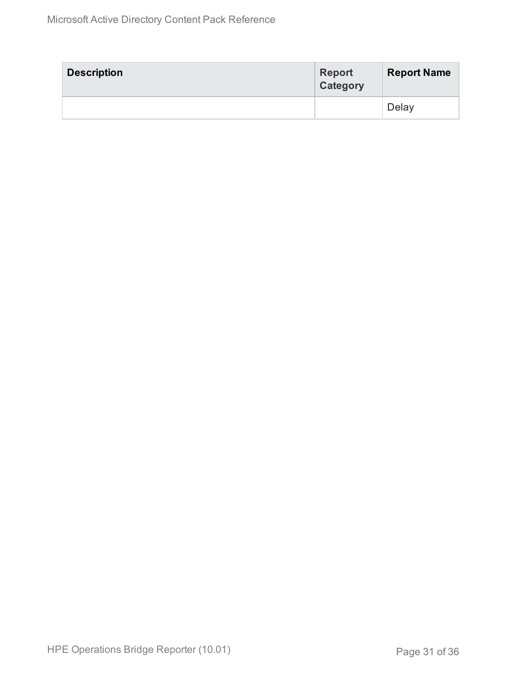| <b>Description</b> | <b>Report</b><br>Category | <b>Report Name</b> |
|--------------------|---------------------------|--------------------|
|                    |                           | Delay              |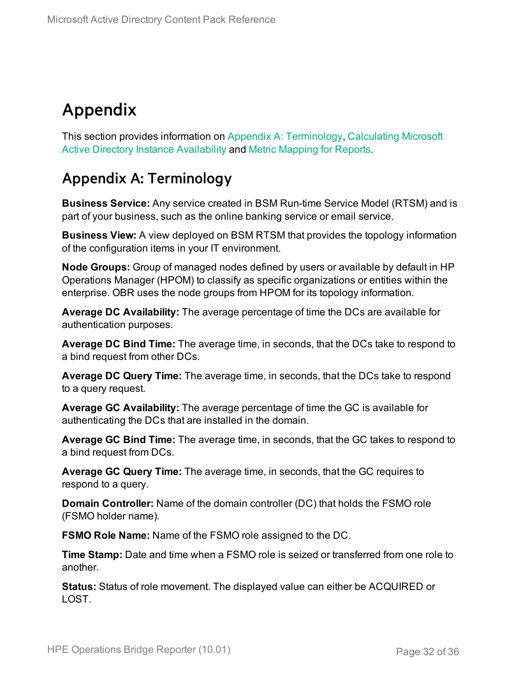## <span id="page-31-0"></span>Appendix

This section provides information on Appendix A: [Terminology,](#page-31-1) [Calculating](#page-33-0) Microsoft Active Directory Instance [Availability](#page-33-0) and Metric [Mapping](#page-34-0) for Reports.

### <span id="page-31-1"></span>Appendix A: Terminology

**Business Service:** Any service created in BSM Run-time Service Model (RTSM) and is part of your business, such as the online banking service or email service.

**Business View:** A view deployed on BSM RTSM that provides the topology information of the configuration items in your IT environment.

**Node Groups:** Group of managed nodes defined by users or available by default in HP Operations Manager (HPOM) to classify as specific organizations or entities within the enterprise. OBR uses the node groups from HPOM for its topology information.

**Average DC Availability:** The average percentage of time the DCs are available for authentication purposes.

**Average DC Bind Time:** The average time, in seconds, that the DCs take to respond to a bind request from other DCs.

**Average DC Query Time:** The average time, in seconds, that the DCs take to respond to a query request.

**Average GC Availability:** The average percentage of time the GC is available for authenticating the DCs that are installed in the domain.

**Average GC Bind Time:** The average time, in seconds, that the GC takes to respond to a bind request from DCs.

**Average GC Query Time:** The average time, in seconds, that the GC requires to respond to a query.

**Domain Controller:** Name of the domain controller (DC) that holds the FSMO role (FSMO holder name).

**FSMO Role Name:** Name of the FSMO role assigned to the DC.

**Time Stamp:** Date and time when a FSMO role is seized or transferred from one role to another.

**Status:** Status of role movement. The displayed value can either be ACQUIRED or LOST.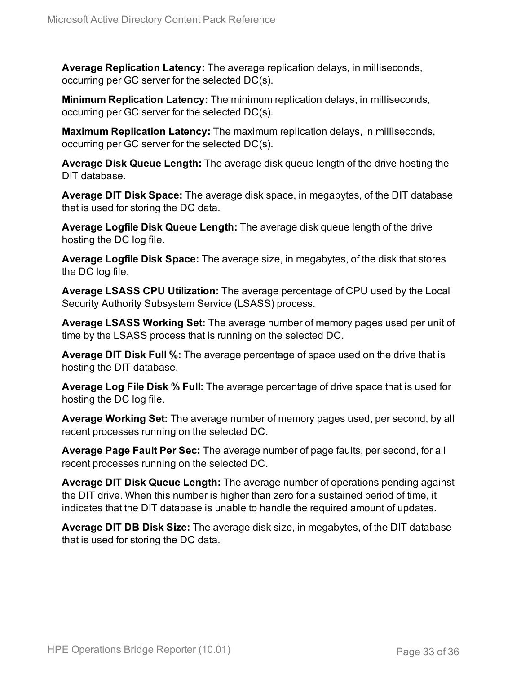**Average Replication Latency:** The average replication delays, in milliseconds, occurring per GC server for the selected DC(s).

**Minimum Replication Latency:** The minimum replication delays, in milliseconds, occurring per GC server for the selected DC(s).

**Maximum Replication Latency:** The maximum replication delays, in milliseconds, occurring per GC server for the selected DC(s).

**Average Disk Queue Length:** The average disk queue length of the drive hosting the DIT database.

**Average DIT Disk Space:** The average disk space, in megabytes, of the DIT database that is used for storing the DC data.

**Average Logfile Disk Queue Length:** The average disk queue length of the drive hosting the DC log file.

**Average Logfile Disk Space:** The average size, in megabytes, of the disk that stores the DC log file.

**Average LSASS CPU Utilization:** The average percentage of CPU used by the Local Security Authority Subsystem Service (LSASS) process.

**Average LSASS Working Set:** The average number of memory pages used per unit of time by the LSASS process that is running on the selected DC.

**Average DIT Disk Full %:** The average percentage of space used on the drive that is hosting the DIT database.

**Average Log File Disk % Full:** The average percentage of drive space that is used for hosting the DC log file.

**Average Working Set:** The average number of memory pages used, per second, by all recent processes running on the selected DC.

**Average Page Fault Per Sec:** The average number of page faults, per second, for all recent processes running on the selected DC.

**Average DIT Disk Queue Length:** The average number of operations pending against the DIT drive. When this number is higher than zero for a sustained period of time, it indicates that the DIT database is unable to handle the required amount of updates.

**Average DIT DB Disk Size:** The average disk size, in megabytes, of the DIT database that is used for storing the DC data.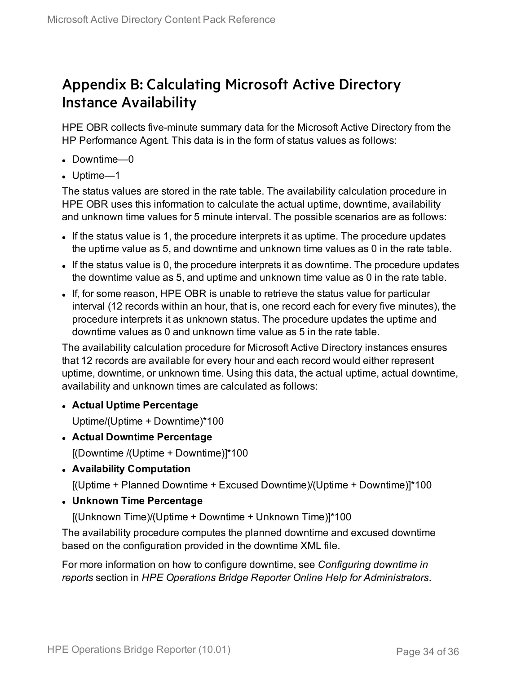### <span id="page-33-0"></span>Appendix B: Calculating Microsoft Active Directory Instance Availability

HPE OBR collects five-minute summary data for the Microsoft Active Directory from the HP Performance Agent. This data is in the form of status values as follows:

- Downtime—0
- $\bullet$  Uptime—1

The status values are stored in the rate table. The availability calculation procedure in HPE OBR uses this information to calculate the actual uptime, downtime, availability and unknown time values for 5 minute interval. The possible scenarios are as follows:

- If the status value is 1, the procedure interprets it as uptime. The procedure updates the uptime value as 5, and downtime and unknown time values as 0 in the rate table.
- If the status value is 0, the procedure interprets it as downtime. The procedure updates the downtime value as 5, and uptime and unknown time value as 0 in the rate table.
- If, for some reason, HPE OBR is unable to retrieve the status value for particular interval (12 records within an hour, that is, one record each for every five minutes), the procedure interprets it as unknown status. The procedure updates the uptime and downtime values as 0 and unknown time value as 5 in the rate table.

The availability calculation procedure for Microsoft Active Directory instances ensures that 12 records are available for every hour and each record would either represent uptime, downtime, or unknown time. Using this data, the actual uptime, actual downtime, availability and unknown times are calculated as follows:

<sup>l</sup> **Actual Uptime Percentage**

Uptime/(Uptime + Downtime)\*100

- <sup>l</sup> **Actual Downtime Percentage** [(Downtime /(Uptime + Downtime)]\*100
- <sup>l</sup> **Availability Computation**

[(Uptime + Planned Downtime + Excused Downtime)/(Uptime + Downtime)]\*100

<sup>l</sup> **Unknown Time Percentage**

[(Unknown Time)/(Uptime + Downtime + Unknown Time)]\*100

The availability procedure computes the planned downtime and excused downtime based on the configuration provided in the downtime XML file.

For more information on how to configure downtime, see *Configuring downtime in reports* section in *HPE Operations Bridge Reporter Online Help for Administrators*.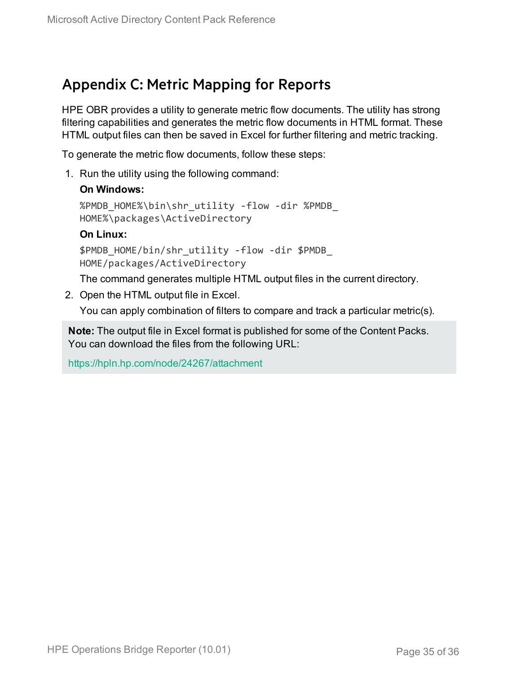### <span id="page-34-0"></span>Appendix C: Metric Mapping for Reports

HPE OBR provides a utility to generate metric flow documents. The utility has strong filtering capabilities and generates the metric flow documents in HTML format. These HTML output files can then be saved in Excel for further filtering and metric tracking.

To generate the metric flow documents, follow these steps:

1. Run the utility using the following command:

#### **On Windows:**

```
%PMDB_HOME%\bin\shr_utility -flow -dir %PMDB_
HOME%\packages\ActiveDirectory
```
#### **On Linux:**

\$PMDB\_HOME/bin/shr\_utility -flow -dir \$PMDB\_ HOME/packages/ActiveDirectory

The command generates multiple HTML output files in the current directory.

2. Open the HTML output file in Excel.

You can apply combination of filters to compare and track a particular metric(s).

**Note:** The output file in Excel format is published for some of the Content Packs. You can download the files from the following URL:

<https://hpln.hp.com/node/24267/attachment>